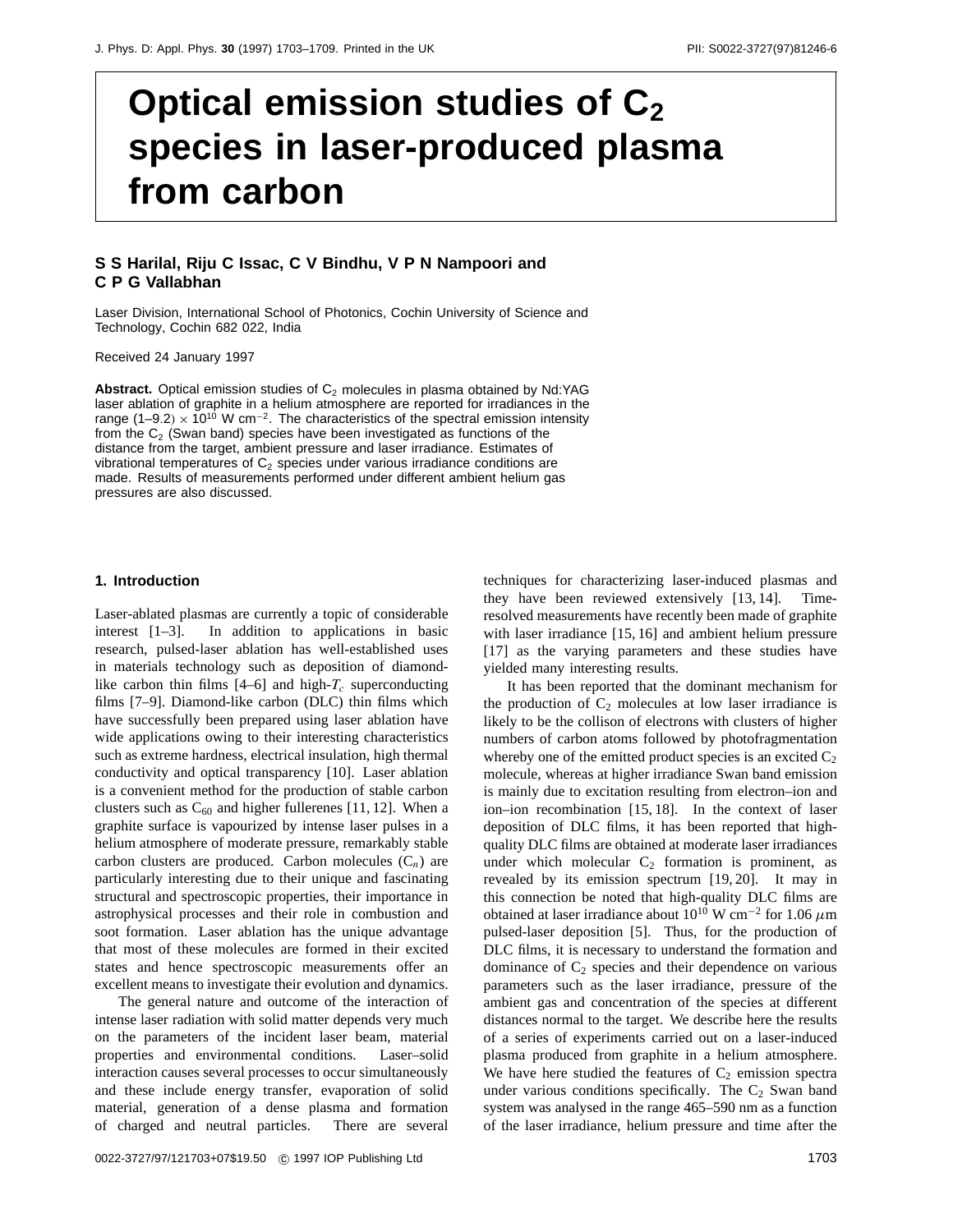# **Optical emission studies of C2 species in laser-produced plasma from carbon**

## **S S Harilal, Riju C Issac, C V Bindhu,VPN Nampoori and CPGVallabhan**

Laser Division, International School of Photonics, Cochin University of Science and Technology, Cochin 682 022, India

Received 24 January 1997

**Abstract.** Optical emission studies of  $C_2$  molecules in plasma obtained by Nd:YAG laser ablation of graphite in a helium atmosphere are reported for irradiances in the range (1–9*.*2*)* <sup>×</sup> 1010 W cm−2. The characteristics of the spectral emission intensity from the  $C_2$  (Swan band) species have been investigated as functions of the distance from the target, ambient pressure and laser irradiance. Estimates of vibrational temperatures of  $C_2$  species under various irradiance conditions are made. Results of measurements performed under different ambient helium gas pressures are also discussed.

#### **1. Introduction**

Laser-ablated plasmas are currently a topic of considerable interest [1–3]. In addition to applications in basic research, pulsed-laser ablation has well-established uses in materials technology such as deposition of diamondlike carbon thin films  $[4-6]$  and high- $T_c$  superconducting films [7–9]. Diamond-like carbon (DLC) thin films which have successfully been prepared using laser ablation have wide applications owing to their interesting characteristics such as extreme hardness, electrical insulation, high thermal conductivity and optical transparency [10]. Laser ablation is a convenient method for the production of stable carbon clusters such as  $C_{60}$  and higher fullerenes [11, 12]. When a graphite surface is vapourized by intense laser pulses in a helium atmosphere of moderate pressure, remarkably stable carbon clusters are produced. Carbon molecules  $(C_n)$  are particularly interesting due to their unique and fascinating structural and spectroscopic properties, their importance in astrophysical processes and their role in combustion and soot formation. Laser ablation has the unique advantage that most of these molecules are formed in their excited states and hence spectroscopic measurements offer an excellent means to investigate their evolution and dynamics.

The general nature and outcome of the interaction of intense laser radiation with solid matter depends very much on the parameters of the incident laser beam, material properties and environmental conditions. Laser–solid interaction causes several processes to occur simultaneously and these include energy transfer, evaporation of solid material, generation of a dense plasma and formation of charged and neutral particles. There are several

techniques for characterizing laser-induced plasmas and they have been reviewed extensively [13, 14]. Timeresolved measurements have recently been made of graphite with laser irradiance [15, 16] and ambient helium pressure [17] as the varying parameters and these studies have yielded many interesting results.

It has been reported that the dominant mechanism for the production of  $C_2$  molecules at low laser irradiance is likely to be the collison of electrons with clusters of higher numbers of carbon atoms followed by photofragmentation whereby one of the emitted product species is an excited  $C_2$ molecule, whereas at higher irradiance Swan band emission is mainly due to excitation resulting from electron–ion and ion–ion recombination [15, 18]. In the context of laser deposition of DLC films, it has been reported that highquality DLC films are obtained at moderate laser irradiances under which molecular  $C_2$  formation is prominent, as revealed by its emission spectrum [19, 20]. It may in this connection be noted that high-quality DLC films are obtained at laser irradiance about 10<sup>10</sup> W cm−<sup>2</sup> for 1.06 *µ*m pulsed-laser deposition [5]. Thus, for the production of DLC films, it is necessary to understand the formation and dominance of  $C_2$  species and their dependence on various parameters such as the laser irradiance, pressure of the ambient gas and concentration of the species at different distances normal to the target. We describe here the results of a series of experiments carried out on a laser-induced plasma produced from graphite in a helium atmosphere. We have here studied the features of  $C_2$  emission spectra under various conditions specifically. The  $C_2$  Swan band system was analysed in the range 465–590 nm as a function of the laser irradiance, helium pressure and time after the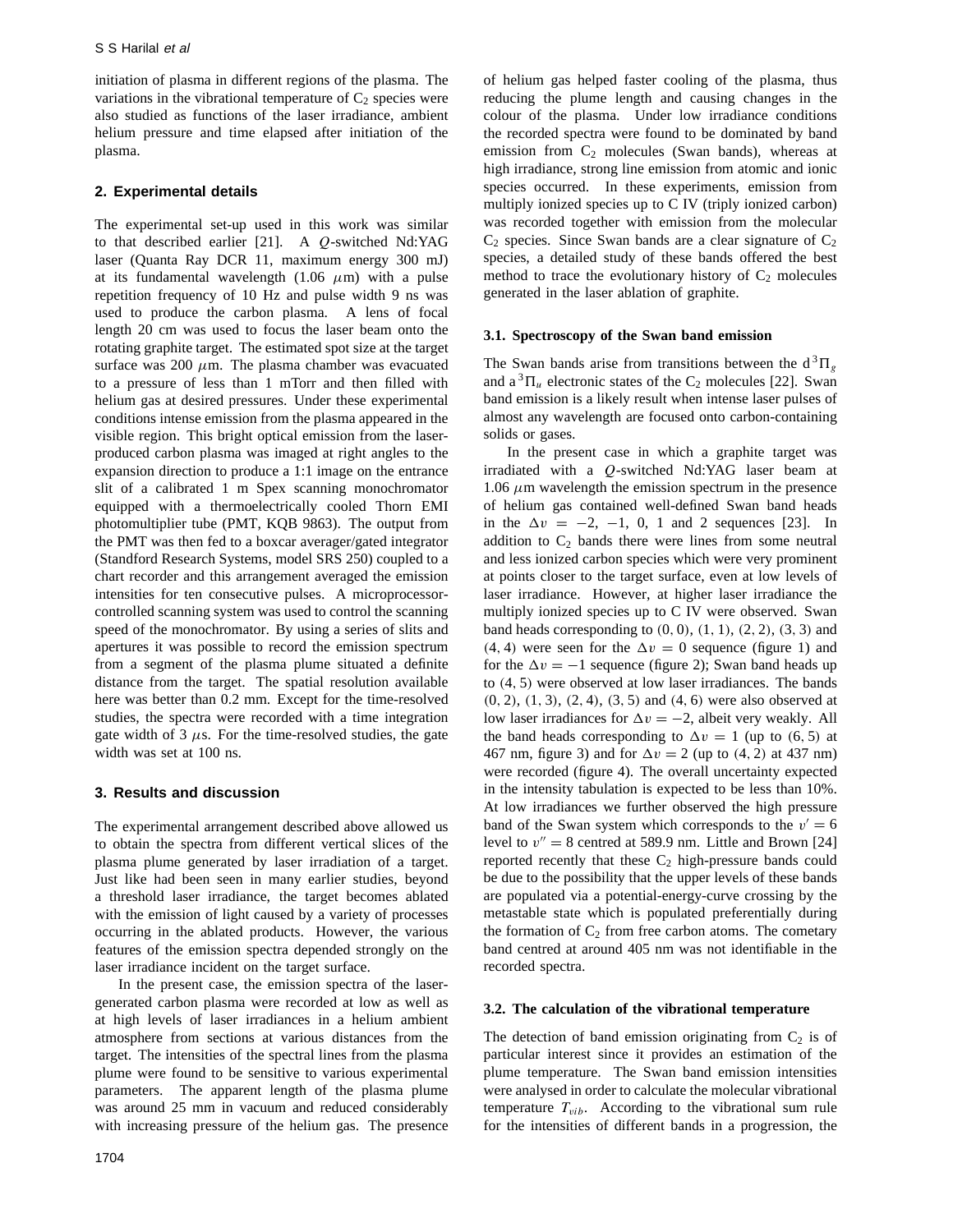initiation of plasma in different regions of the plasma. The variations in the vibrational temperature of  $C_2$  species were also studied as functions of the laser irradiance, ambient helium pressure and time elapsed after initiation of the plasma.

#### **2. Experimental details**

The experimental set-up used in this work was similar to that described earlier [21]. A *Q*-switched Nd:YAG laser (Quanta Ray DCR 11, maximum energy 300 mJ) at its fundamental wavelength  $(1.06 \mu m)$  with a pulse repetition frequency of 10 Hz and pulse width 9 ns was used to produce the carbon plasma. A lens of focal length 20 cm was used to focus the laser beam onto the rotating graphite target. The estimated spot size at the target surface was  $200 \mu m$ . The plasma chamber was evacuated to a pressure of less than 1 mTorr and then filled with helium gas at desired pressures. Under these experimental conditions intense emission from the plasma appeared in the visible region. This bright optical emission from the laserproduced carbon plasma was imaged at right angles to the expansion direction to produce a 1:1 image on the entrance slit of a calibrated 1 m Spex scanning monochromator equipped with a thermoelectrically cooled Thorn EMI photomultiplier tube (PMT, KQB 9863). The output from the PMT was then fed to a boxcar averager/gated integrator (Standford Research Systems, model SRS 250) coupled to a chart recorder and this arrangement averaged the emission intensities for ten consecutive pulses. A microprocessorcontrolled scanning system was used to control the scanning speed of the monochromator. By using a series of slits and apertures it was possible to record the emission spectrum from a segment of the plasma plume situated a definite distance from the target. The spatial resolution available here was better than 0.2 mm. Except for the time-resolved studies, the spectra were recorded with a time integration gate width of  $3 \mu s$ . For the time-resolved studies, the gate width was set at 100 ns.

#### **3. Results and discussion**

The experimental arrangement described above allowed us to obtain the spectra from different vertical slices of the plasma plume generated by laser irradiation of a target. Just like had been seen in many earlier studies, beyond a threshold laser irradiance, the target becomes ablated with the emission of light caused by a variety of processes occurring in the ablated products. However, the various features of the emission spectra depended strongly on the laser irradiance incident on the target surface.

In the present case, the emission spectra of the lasergenerated carbon plasma were recorded at low as well as at high levels of laser irradiances in a helium ambient atmosphere from sections at various distances from the target. The intensities of the spectral lines from the plasma plume were found to be sensitive to various experimental parameters. The apparent length of the plasma plume was around 25 mm in vacuum and reduced considerably with increasing pressure of the helium gas. The presence

of helium gas helped faster cooling of the plasma, thus reducing the plume length and causing changes in the colour of the plasma. Under low irradiance conditions the recorded spectra were found to be dominated by band emission from  $C_2$  molecules (Swan bands), whereas at high irradiance, strong line emission from atomic and ionic species occurred. In these experiments, emission from multiply ionized species up to C IV (triply ionized carbon) was recorded together with emission from the molecular  $C_2$  species. Since Swan bands are a clear signature of  $C_2$ species, a detailed study of these bands offered the best method to trace the evolutionary history of  $C_2$  molecules generated in the laser ablation of graphite.

#### **3.1. Spectroscopy of the Swan band emission**

The Swan bands arise from transitions between the  $d^3\Pi_g$ and  $a^3\Pi_u$  electronic states of the C<sub>2</sub> molecules [22]. Swan band emission is a likely result when intense laser pulses of almost any wavelength are focused onto carbon-containing solids or gases.

In the present case in which a graphite target was irradiated with a *Q*-switched Nd:YAG laser beam at 1.06  $\mu$ m wavelength the emission spectrum in the presence of helium gas contained well-defined Swan band heads in the  $\Delta v = -2, -1, 0, 1$  and 2 sequences [23]. In addition to  $C_2$  bands there were lines from some neutral and less ionized carbon species which were very prominent at points closer to the target surface, even at low levels of laser irradiance. However, at higher laser irradiance the multiply ionized species up to C IV were observed. Swan band heads corresponding to *(*0*,* 0*)*, *(*1*,* 1*)*, *(*2*,* 2*)*, *(*3*,* 3*)* and  $(4, 4)$  were seen for the  $\Delta v = 0$  sequence (figure 1) and for the  $\Delta v = -1$  sequence (figure 2); Swan band heads up to *(*4*,* 5*)* were observed at low laser irradiances. The bands *(*0*,* 2*)*, *(*1*,* 3*)*, *(*2*,* 4*)*, *(*3*,* 5*)* and *(*4*,* 6*)* were also observed at low laser irradiances for  $\Delta v = -2$ , albeit very weakly. All the band heads corresponding to  $\Delta v = 1$  (up to (6, 5) at 467 nm, figure 3) and for  $\Delta v = 2$  (up to (4, 2) at 437 nm) were recorded (figure 4). The overall uncertainty expected in the intensity tabulation is expected to be less than 10%. At low irradiances we further observed the high pressure band of the Swan system which corresponds to the  $v' = 6$ level to  $v'' = 8$  centred at 589.9 nm. Little and Brown [24] reported recently that these  $C_2$  high-pressure bands could be due to the possibility that the upper levels of these bands are populated via a potential-energy-curve crossing by the metastable state which is populated preferentially during the formation of  $C_2$  from free carbon atoms. The cometary band centred at around 405 nm was not identifiable in the recorded spectra.

#### **3.2. The calculation of the vibrational temperature**

The detection of band emission originating from  $C_2$  is of particular interest since it provides an estimation of the plume temperature. The Swan band emission intensities were analysed in order to calculate the molecular vibrational temperature  $T_{vib}$ . According to the vibrational sum rule for the intensities of different bands in a progression, the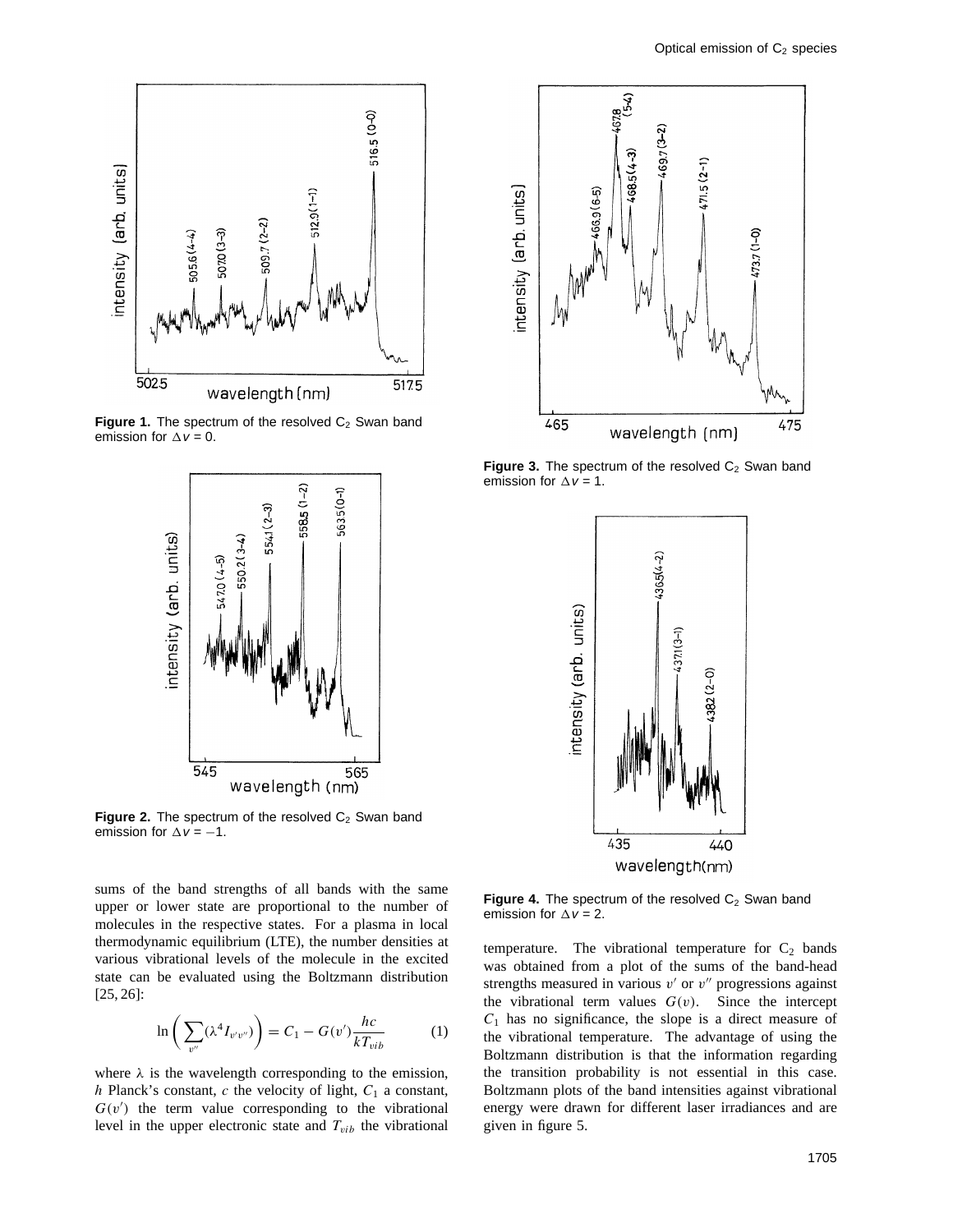

**Figure 1.** The spectrum of the resolved  $C_2$  Swan band emission for  $\Delta v = 0$ .



**Figure 2.** The spectrum of the resolved  $C_2$  Swan band emission for  $\Delta v = -1$ .

ष्ट<br>१९  $469.7(3-2)$  $468.5(4-3)$  $(2-1)$ ntensity (arb. units)  $466.9(6-5)$  $(1-0)$ 465 475 wavelength (nm)

**Figure 3.** The spectrum of the resolved  $C_2$  Swan band emission for  $\Delta v = 1$ .



sums of the band strengths of all bands with the same upper or lower state are proportional to the number of molecules in the respective states. For a plasma in local thermodynamic equilibrium (LTE), the number densities at various vibrational levels of the molecule in the excited state can be evaluated using the Boltzmann distribution [25, 26]:

$$
\ln\left(\sum_{v''} (\lambda^4 I_{v'v''})\right) = C_1 - G(v') \frac{hc}{kT_{vib}} \tag{1}
$$

where  $\lambda$  is the wavelength corresponding to the emission, *h* Planck's constant, *c* the velocity of light,  $C_1$  a constant,  $G(v')$  the term value corresponding to the vibrational level in the upper electronic state and  $T_{vib}$  the vibrational

**Figure 4.** The spectrum of the resolved C<sub>2</sub> Swan band emission for  $\Delta v = 2$ .

temperature. The vibrational temperature for  $C_2$  bands was obtained from a plot of the sums of the band-head strengths measured in various  $v'$  or  $v''$  progressions against the vibrational term values  $G(v)$ . Since the intercept *C*<sup>1</sup> has no significance, the slope is a direct measure of the vibrational temperature. The advantage of using the Boltzmann distribution is that the information regarding the transition probability is not essential in this case. Boltzmann plots of the band intensities against vibrational energy were drawn for different laser irradiances and are given in figure 5.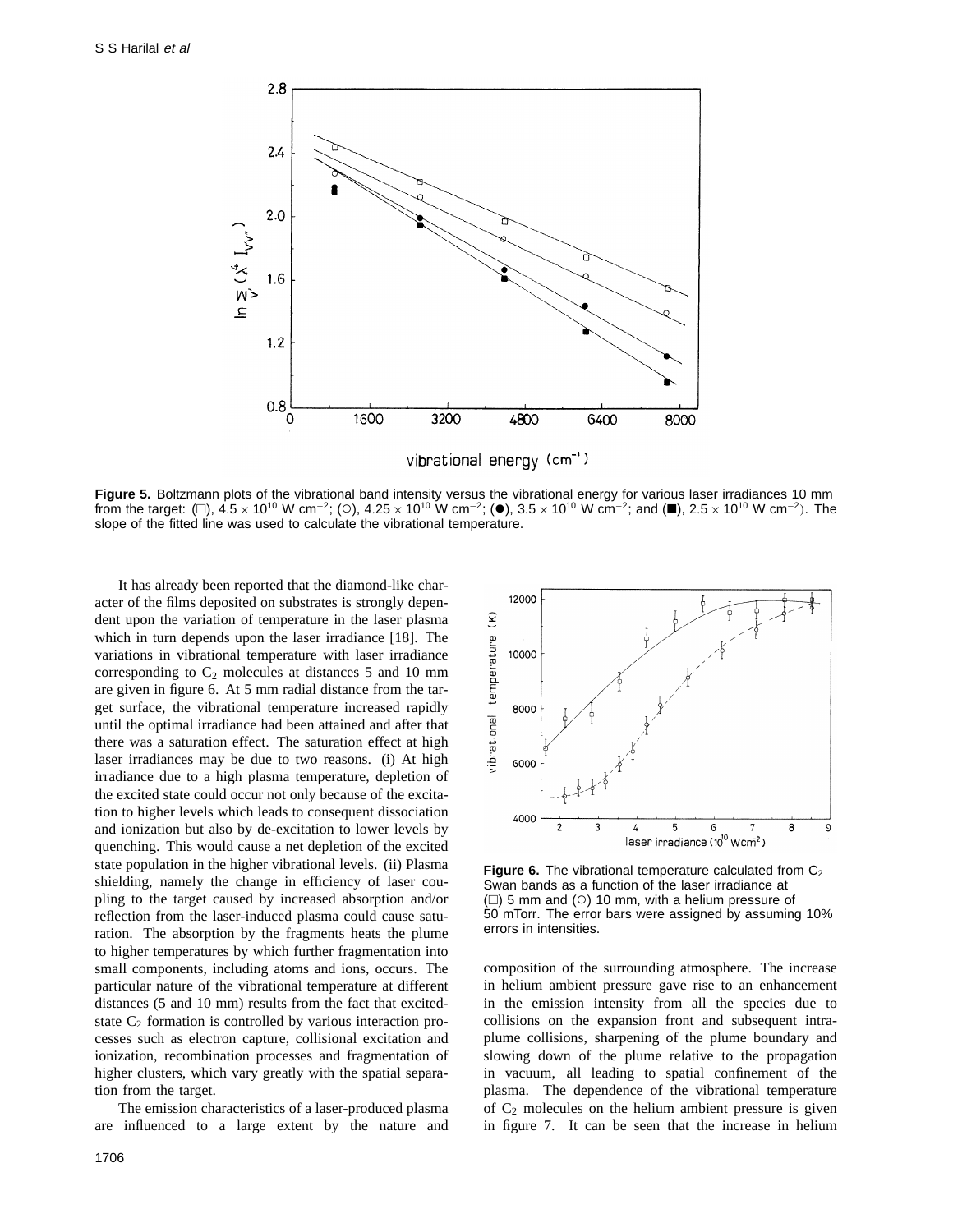

**Figure 5.** Boltzmann plots of the vibrational band intensity versus the vibrational energy for various laser irradiances 10 mm from the target: (□),  $4.5 \times 10^{10}$  W cm<sup>-2</sup>; (○),  $4.25 \times 10^{10}$  W cm<sup>-2</sup>; (●),  $3.5 \times 10^{10}$  W cm<sup>-2</sup>; and (■),  $2.5 \times 10^{10}$  W cm<sup>-2</sup>). The slope of the fitted line was used to calculate the vibrational temperature.

It has already been reported that the diamond-like character of the films deposited on substrates is strongly dependent upon the variation of temperature in the laser plasma which in turn depends upon the laser irradiance [18]. The variations in vibrational temperature with laser irradiance corresponding to  $C_2$  molecules at distances 5 and 10 mm are given in figure 6. At 5 mm radial distance from the target surface, the vibrational temperature increased rapidly until the optimal irradiance had been attained and after that there was a saturation effect. The saturation effect at high laser irradiances may be due to two reasons. (i) At high irradiance due to a high plasma temperature, depletion of the excited state could occur not only because of the excitation to higher levels which leads to consequent dissociation and ionization but also by de-excitation to lower levels by quenching. This would cause a net depletion of the excited state population in the higher vibrational levels. (ii) Plasma shielding, namely the change in efficiency of laser coupling to the target caused by increased absorption and/or reflection from the laser-induced plasma could cause saturation. The absorption by the fragments heats the plume to higher temperatures by which further fragmentation into small components, including atoms and ions, occurs. The particular nature of the vibrational temperature at different distances (5 and 10 mm) results from the fact that excitedstate  $C_2$  formation is controlled by various interaction processes such as electron capture, collisional excitation and ionization, recombination processes and fragmentation of higher clusters, which vary greatly with the spatial separation from the target.

The emission characteristics of a laser-produced plasma are influenced to a large extent by the nature and



**Figure 6.** The vibrational temperature calculated from C<sub>2</sub> Swan bands as a function of the laser irradiance at  $(\square)$  5 mm and ( $\bigcirc$ ) 10 mm, with a helium pressure of 50 mTorr. The error bars were assigned by assuming 10% errors in intensities.

composition of the surrounding atmosphere. The increase in helium ambient pressure gave rise to an enhancement in the emission intensity from all the species due to collisions on the expansion front and subsequent intraplume collisions, sharpening of the plume boundary and slowing down of the plume relative to the propagation in vacuum, all leading to spatial confinement of the plasma. The dependence of the vibrational temperature of  $C_2$  molecules on the helium ambient pressure is given in figure 7. It can be seen that the increase in helium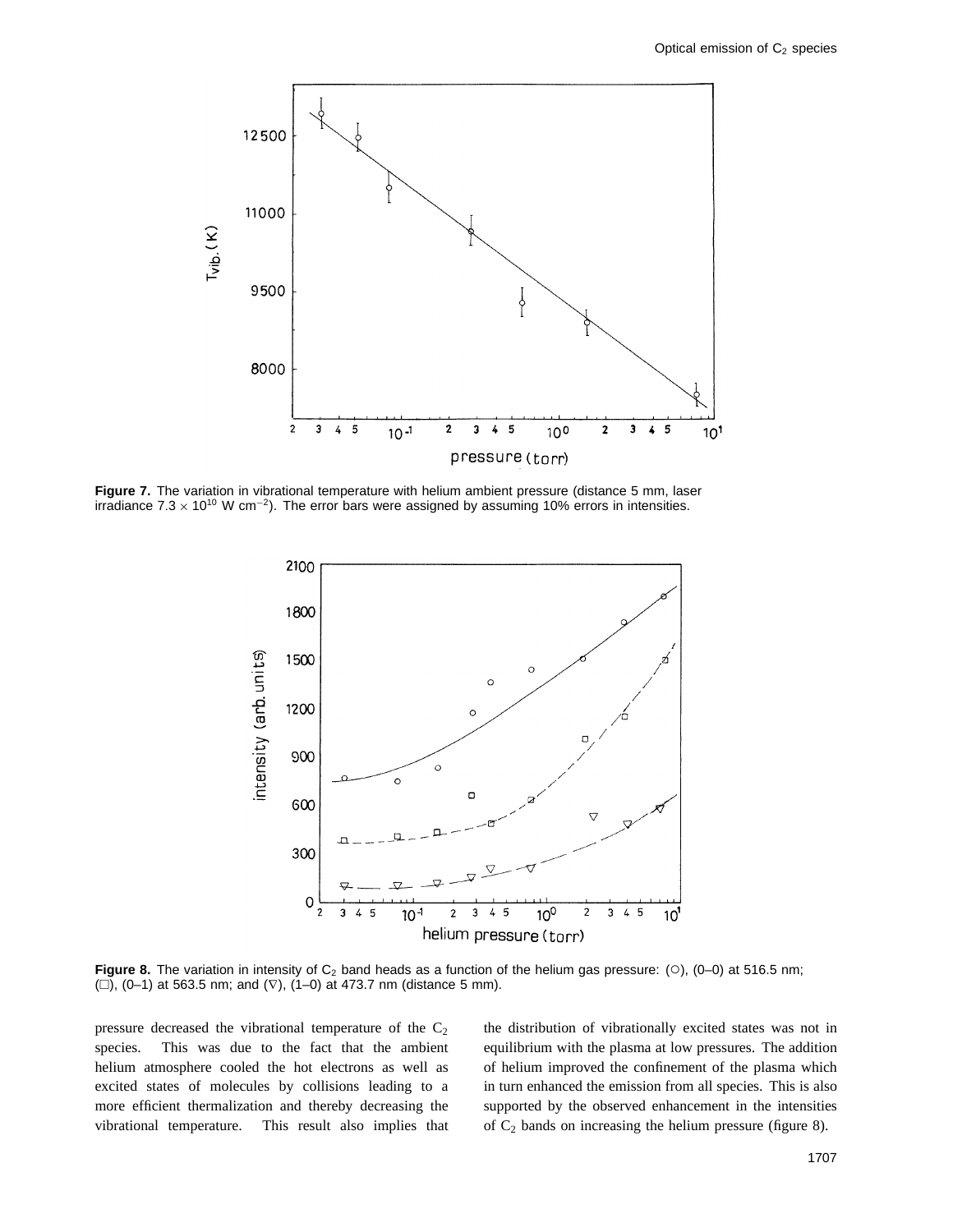

**Figure 7.** The variation in vibrational temperature with helium ambient pressure (distance 5 mm, laser irradiance 7.3 × 10<sup>10</sup> W cm<sup>-2</sup>). The error bars were assigned by assuming 10% errors in intensities.



**Figure 8.** The variation in intensity of  $C_2$  band heads as a function of the helium gas pressure: (○), (0–0) at 516.5 nm;  $(□), (0-1)$  at 563.5 nm; and  $(∇), (1-0)$  at 473.7 nm (distance 5 mm).

pressure decreased the vibrational temperature of the  $C_2$ species. This was due to the fact that the ambient helium atmosphere cooled the hot electrons as well as excited states of molecules by collisions leading to a more efficient thermalization and thereby decreasing the vibrational temperature. This result also implies that the distribution of vibrationally excited states was not in equilibrium with the plasma at low pressures. The addition of helium improved the confinement of the plasma which in turn enhanced the emission from all species. This is also supported by the observed enhancement in the intensities of  $C_2$  bands on increasing the helium pressure (figure 8).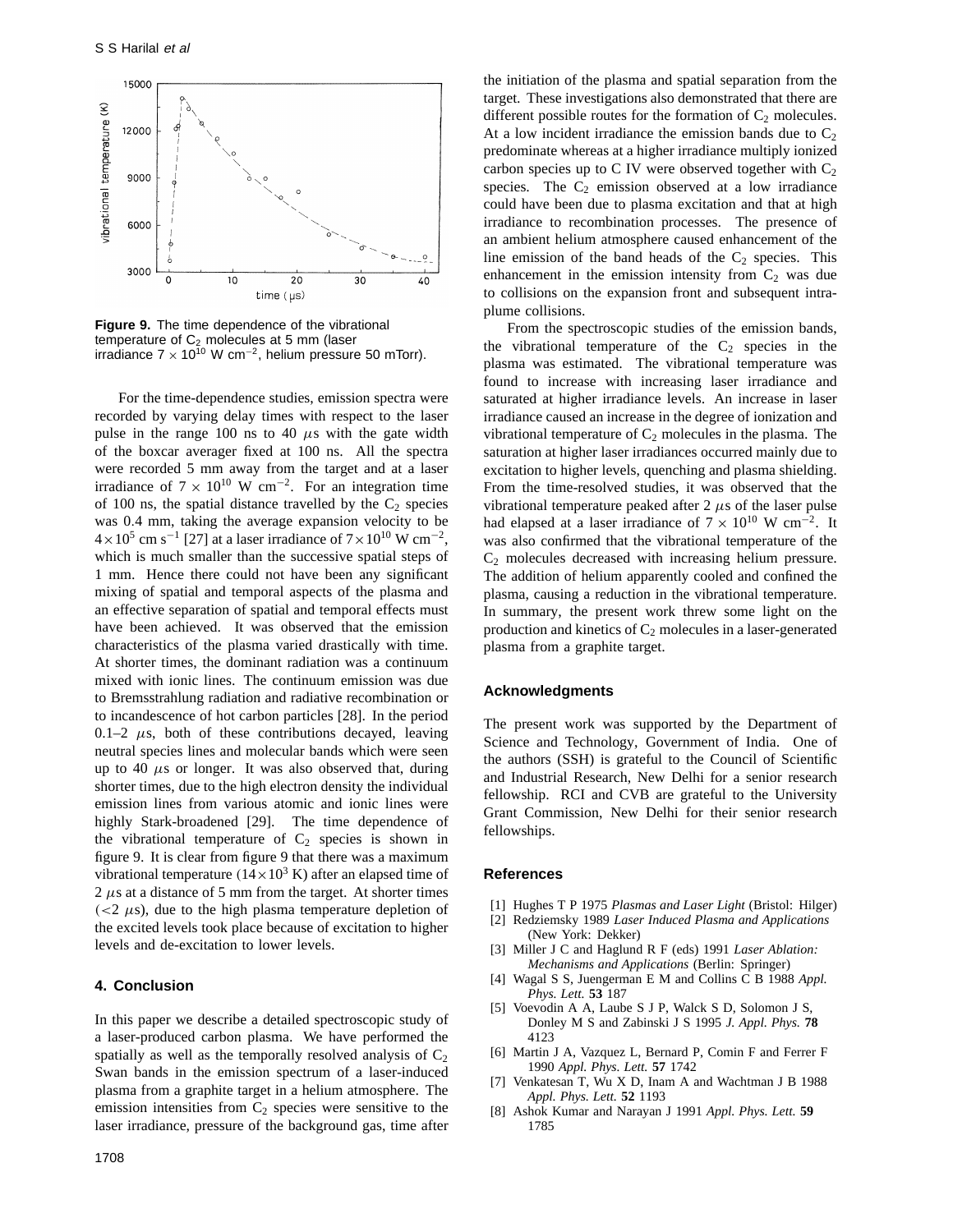

**Figure 9.** The time dependence of the vibrational temperature of  $C_2$  molecules at 5 mm (laser irradiance  $7 \times 10^{10}$  W cm<sup>-2</sup>, helium pressure 50 mTorr).

For the time-dependence studies, emission spectra were recorded by varying delay times with respect to the laser pulse in the range 100 ns to 40  $\mu$ s with the gate width of the boxcar averager fixed at 100 ns. All the spectra were recorded 5 mm away from the target and at a laser irradiance of  $7 \times 10^{10}$  W cm<sup>-2</sup>. For an integration time of 100 ns, the spatial distance travelled by the  $C_2$  species was 0*.*4 mm, taking the average expansion velocity to be  $4 \times 10^5$  cm s<sup>-1</sup> [27] at a laser irradiance of  $7 \times 10^{10}$  W cm<sup>-2</sup>, which is much smaller than the successive spatial steps of 1 mm. Hence there could not have been any significant mixing of spatial and temporal aspects of the plasma and an effective separation of spatial and temporal effects must have been achieved. It was observed that the emission characteristics of the plasma varied drastically with time. At shorter times, the dominant radiation was a continuum mixed with ionic lines. The continuum emission was due to Bremsstrahlung radiation and radiative recombination or to incandescence of hot carbon particles [28]. In the period  $0.1-2$   $\mu$ s, both of these contributions decayed, leaving neutral species lines and molecular bands which were seen up to 40 *µ*s or longer. It was also observed that, during shorter times, due to the high electron density the individual emission lines from various atomic and ionic lines were highly Stark-broadened [29]. The time dependence of the vibrational temperature of  $C_2$  species is shown in figure 9. It is clear from figure 9 that there was a maximum vibrational temperature  $(14 \times 10^3 \text{ K})$  after an elapsed time of  $2 \mu s$  at a distance of 5 mm from the target. At shorter times  $\left($  <2  $\mu$ s), due to the high plasma temperature depletion of the excited levels took place because of excitation to higher levels and de-excitation to lower levels.

#### **4. Conclusion**

In this paper we describe a detailed spectroscopic study of a laser-produced carbon plasma. We have performed the spatially as well as the temporally resolved analysis of  $C_2$ Swan bands in the emission spectrum of a laser-induced plasma from a graphite target in a helium atmosphere. The emission intensities from  $C_2$  species were sensitive to the laser irradiance, pressure of the background gas, time after

the initiation of the plasma and spatial separation from the target. These investigations also demonstrated that there are different possible routes for the formation of  $C_2$  molecules. At a low incident irradiance the emission bands due to  $C_2$ predominate whereas at a higher irradiance multiply ionized carbon species up to C IV were observed together with  $C_2$ species. The  $C_2$  emission observed at a low irradiance could have been due to plasma excitation and that at high irradiance to recombination processes. The presence of an ambient helium atmosphere caused enhancement of the line emission of the band heads of the  $C_2$  species. This enhancement in the emission intensity from  $C_2$  was due to collisions on the expansion front and subsequent intraplume collisions.

From the spectroscopic studies of the emission bands, the vibrational temperature of the  $C_2$  species in the plasma was estimated. The vibrational temperature was found to increase with increasing laser irradiance and saturated at higher irradiance levels. An increase in laser irradiance caused an increase in the degree of ionization and vibrational temperature of  $C_2$  molecules in the plasma. The saturation at higher laser irradiances occurred mainly due to excitation to higher levels, quenching and plasma shielding. From the time-resolved studies, it was observed that the vibrational temperature peaked after  $2 \mu s$  of the laser pulse had elapsed at a laser irradiance of  $7 \times 10^{10}$  W cm<sup>-2</sup>. It was also confirmed that the vibrational temperature of the  $C_2$  molecules decreased with increasing helium pressure. The addition of helium apparently cooled and confined the plasma, causing a reduction in the vibrational temperature. In summary, the present work threw some light on the production and kinetics of  $C_2$  molecules in a laser-generated plasma from a graphite target.

### **Acknowledgments**

The present work was supported by the Department of Science and Technology, Government of India. One of the authors (SSH) is grateful to the Council of Scientific and Industrial Research, New Delhi for a senior research fellowship. RCI and CVB are grateful to the University Grant Commission, New Delhi for their senior research fellowships.

#### **References**

- [1] Hughes T P 1975 *Plasmas and Laser Light* (Bristol: Hilger)
- [2] Redziemsky 1989 *Laser Induced Plasma and Applications* (New York: Dekker)
- [3] Miller J C and Haglund R F (eds) 1991 *Laser Ablation: Mechanisms and Applications* (Berlin: Springer)
- [4] Wagal S S, Juengerman E M and Collins C B 1988 *Appl. Phys. Lett.* **53** 187
- [5] Voevodin A A, Laube S J P, Walck S D, Solomon J S, Donley M S and Zabinski J S 1995 *J. Appl. Phys.* **78** 4123
- [6] Martin J A, Vazquez L, Bernard P, Comin F and Ferrer F 1990 *Appl. Phys. Lett.* **57** 1742
- Venkatesan T, Wu X D, Inam A and Wachtman J B 1988 *Appl. Phys. Lett.* **52** 1193
- [8] Ashok Kumar and Narayan J 1991 *Appl. Phys. Lett.* **59** 1785